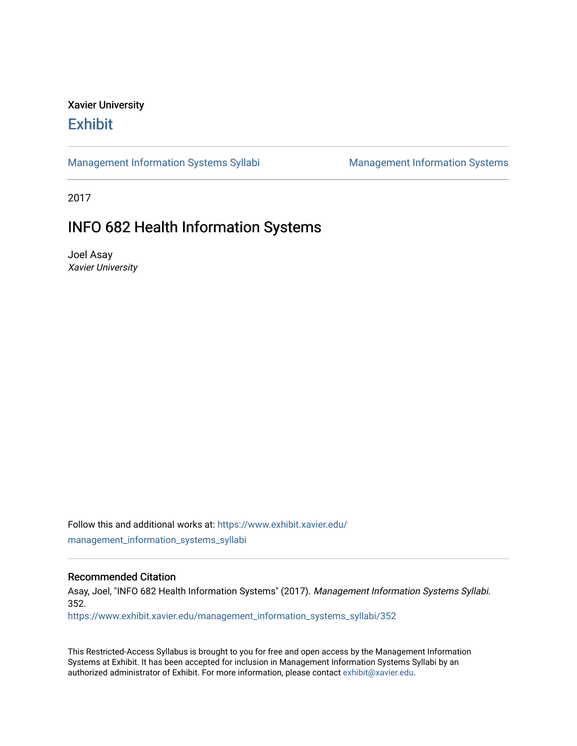# Xavier University **Exhibit**

[Management Information Systems Syllabi](https://www.exhibit.xavier.edu/management_information_systems_syllabi) Management Information Systems

2017

# INFO 682 Health Information Systems

Joel Asay Xavier University

Follow this and additional works at: [https://www.exhibit.xavier.edu/](https://www.exhibit.xavier.edu/management_information_systems_syllabi?utm_source=www.exhibit.xavier.edu%2Fmanagement_information_systems_syllabi%2F352&utm_medium=PDF&utm_campaign=PDFCoverPages) [management\\_information\\_systems\\_syllabi](https://www.exhibit.xavier.edu/management_information_systems_syllabi?utm_source=www.exhibit.xavier.edu%2Fmanagement_information_systems_syllabi%2F352&utm_medium=PDF&utm_campaign=PDFCoverPages) 

#### Recommended Citation

Asay, Joel, "INFO 682 Health Information Systems" (2017). Management Information Systems Syllabi. 352.

[https://www.exhibit.xavier.edu/management\\_information\\_systems\\_syllabi/352](https://www.exhibit.xavier.edu/management_information_systems_syllabi/352?utm_source=www.exhibit.xavier.edu%2Fmanagement_information_systems_syllabi%2F352&utm_medium=PDF&utm_campaign=PDFCoverPages) 

This Restricted-Access Syllabus is brought to you for free and open access by the Management Information Systems at Exhibit. It has been accepted for inclusion in Management Information Systems Syllabi by an authorized administrator of Exhibit. For more information, please contact [exhibit@xavier.edu](mailto:exhibit@xavier.edu).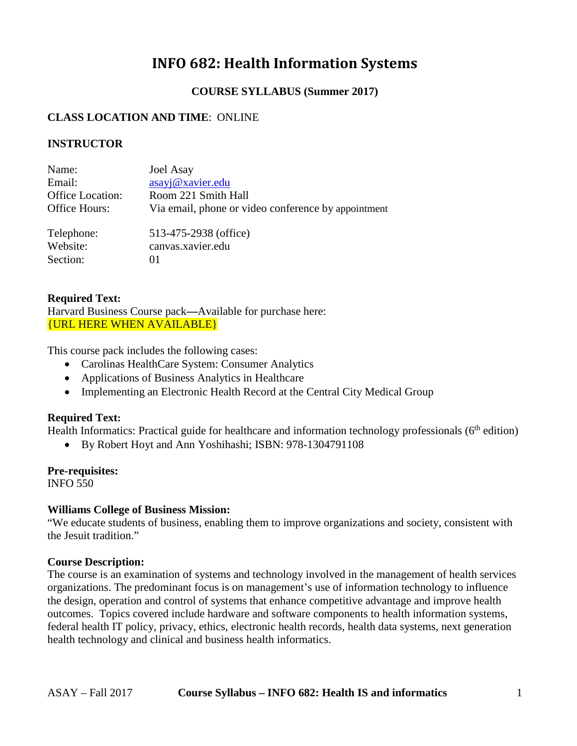# **INFO 682: Health Information Systems**

## **COURSE SYLLABUS (Summer 2017)**

## **CLASS LOCATION AND TIME**: ONLINE

## **INSTRUCTOR**

| Name:<br>Email:  | Joel Asay<br>asayj@xavier.edu                       |
|------------------|-----------------------------------------------------|
| Office Location: | Room 221 Smith Hall                                 |
| Office Hours:    | Via email, phone or video conference by appointment |
| Telephone:       | 513-475-2938 (office)                               |
| Website:         | canvas.xavier.edu                                   |
| Section:         | 01                                                  |

## **Required Text:**

Harvard Business Course pack**—**Available for purchase here: {URL HERE WHEN AVAILABLE}

This course pack includes the following cases:

- Carolinas HealthCare System: Consumer Analytics
- Applications of Business Analytics in Healthcare
- Implementing an Electronic Health Record at the Central City Medical Group

## **Required Text:**

Health Informatics: Practical guide for healthcare and information technology professionals ( $6<sup>th</sup>$  edition)

• By Robert Hoyt and Ann Yoshihashi; ISBN: 978-1304791108

## **Pre-requisites:**

INFO 550

## **Williams College of Business Mission:**

"We educate students of business, enabling them to improve organizations and society, consistent with the Jesuit tradition."

## **Course Description:**

The course is an examination of systems and technology involved in the management of health services organizations. The predominant focus is on management's use of information technology to influence the design, operation and control of systems that enhance competitive advantage and improve health outcomes. Topics covered include hardware and software components to health information systems, federal health IT policy, privacy, ethics, electronic health records, health data systems, next generation health technology and clinical and business health informatics.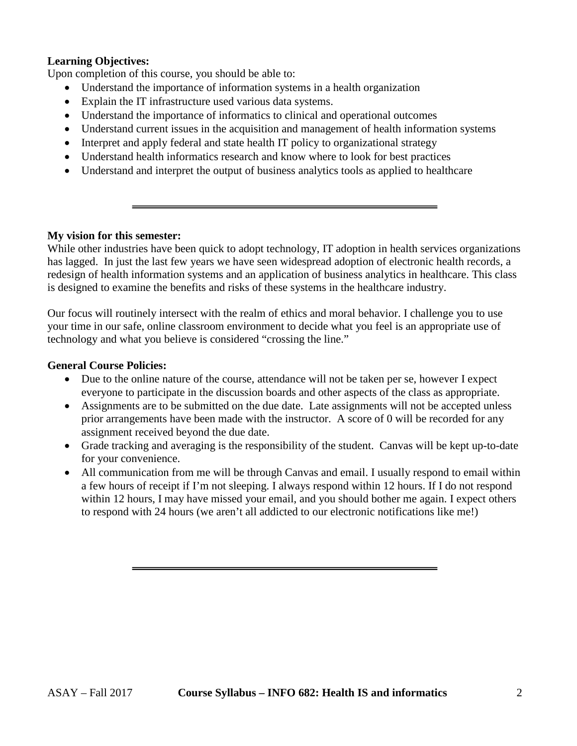## **Learning Objectives:**

Upon completion of this course, you should be able to:

- Understand the importance of information systems in a health organization
- Explain the IT infrastructure used various data systems.
- Understand the importance of informatics to clinical and operational outcomes
- Understand current issues in the acquisition and management of health information systems
- Interpret and apply federal and state health IT policy to organizational strategy
- Understand health informatics research and know where to look for best practices
- Understand and interpret the output of business analytics tools as applied to healthcare

### **My vision for this semester:**

While other industries have been quick to adopt technology, IT adoption in health services organizations has lagged. In just the last few years we have seen widespread adoption of electronic health records, a redesign of health information systems and an application of business analytics in healthcare. This class is designed to examine the benefits and risks of these systems in the healthcare industry.

Our focus will routinely intersect with the realm of ethics and moral behavior. I challenge you to use your time in our safe, online classroom environment to decide what you feel is an appropriate use of technology and what you believe is considered "crossing the line."

## **General Course Policies:**

- Due to the online nature of the course, attendance will not be taken per se, however I expect everyone to participate in the discussion boards and other aspects of the class as appropriate.
- Assignments are to be submitted on the due date. Late assignments will not be accepted unless prior arrangements have been made with the instructor. A score of 0 will be recorded for any assignment received beyond the due date.
- Grade tracking and averaging is the responsibility of the student. Canvas will be kept up-to-date for your convenience.
- All communication from me will be through Canvas and email. I usually respond to email within a few hours of receipt if I'm not sleeping. I always respond within 12 hours. If I do not respond within 12 hours, I may have missed your email, and you should bother me again. I expect others to respond with 24 hours (we aren't all addicted to our electronic notifications like me!)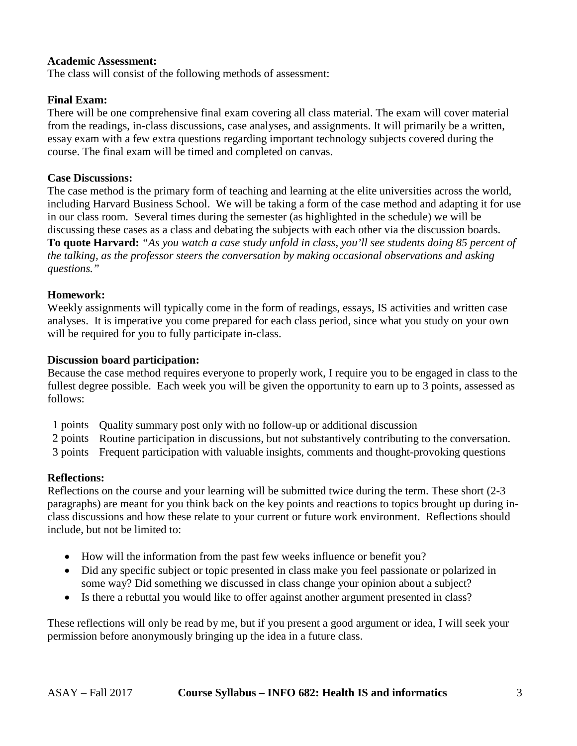## **Academic Assessment:**

The class will consist of the following methods of assessment:

## **Final Exam:**

There will be one comprehensive final exam covering all class material. The exam will cover material from the readings, in-class discussions, case analyses, and assignments. It will primarily be a written, essay exam with a few extra questions regarding important technology subjects covered during the course. The final exam will be timed and completed on canvas.

### **Case Discussions:**

The case method is the primary form of teaching and learning at the elite universities across the world, including Harvard Business School. We will be taking a form of the case method and adapting it for use in our class room. Several times during the semester (as highlighted in the schedule) we will be discussing these cases as a class and debating the subjects with each other via the discussion boards. **To quote Harvard:** *"As you watch a case study unfold in class, you'll see students doing 85 percent of the talking, as the professor steers the conversation by making occasional observations and asking questions."* 

### **Homework:**

Weekly assignments will typically come in the form of readings, essays, IS activities and written case analyses. It is imperative you come prepared for each class period, since what you study on your own will be required for you to fully participate in-class.

### **Discussion board participation:**

Because the case method requires everyone to properly work, I require you to be engaged in class to the fullest degree possible. Each week you will be given the opportunity to earn up to 3 points, assessed as follows:

- 1 points Quality summary post only with no follow-up or additional discussion
- 2 points Routine participation in discussions, but not substantively contributing to the conversation.
- 3 points Frequent participation with valuable insights, comments and thought-provoking questions

## **Reflections:**

Reflections on the course and your learning will be submitted twice during the term. These short (2-3 paragraphs) are meant for you think back on the key points and reactions to topics brought up during inclass discussions and how these relate to your current or future work environment. Reflections should include, but not be limited to:

- How will the information from the past few weeks influence or benefit you?
- Did any specific subject or topic presented in class make you feel passionate or polarized in some way? Did something we discussed in class change your opinion about a subject?
- Is there a rebuttal you would like to offer against another argument presented in class?

These reflections will only be read by me, but if you present a good argument or idea, I will seek your permission before anonymously bringing up the idea in a future class.